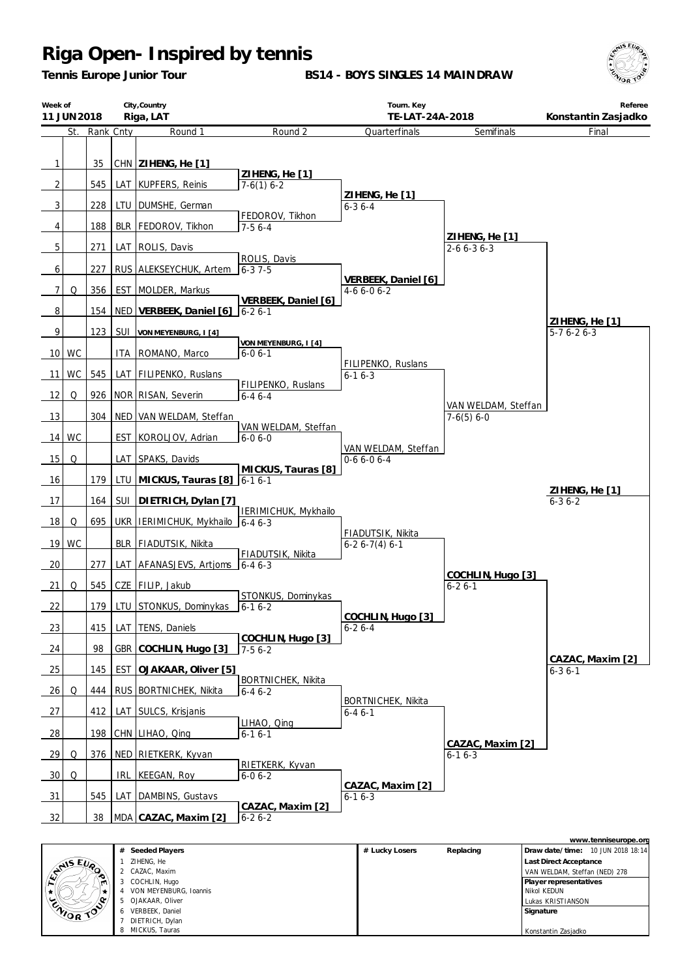*Tennis Europe Junior Tour*

**BS14 - BOYS SINGLES 14 MAINDRAW**



|                                | City, Country<br>Week of<br>Riga, LAT<br>11 JUN 2018 |           |            | Tourn. Key<br>TE-LAT-24A-2018         |                                           | Referee<br>Konstantin Zasjadko            |                                     |                               |
|--------------------------------|------------------------------------------------------|-----------|------------|---------------------------------------|-------------------------------------------|-------------------------------------------|-------------------------------------|-------------------------------|
|                                | St.                                                  | Rank Cnty |            | Round 1                               | Round 2                                   | Quarterfinals                             | Semifinals                          | Final                         |
| $\mathbf{1}$<br>$\overline{2}$ |                                                      | 35<br>545 | LAT        | CHN ZIHENG, He [1]<br>KUPFERS, Reinis | ZIHENG, He [1]<br>$7-6(1)$ 6-2            |                                           |                                     |                               |
| 3                              |                                                      | 228       |            | DUMSHE, German                        |                                           | ZIHENG, He [1]                            |                                     |                               |
|                                |                                                      |           | LTU        |                                       | FEDOROV, Tikhon                           | $6 - 36 - 4$                              |                                     |                               |
| 4                              |                                                      | 188       | <b>BLR</b> | FEDOROV, Tikhon                       | $7-56-4$                                  |                                           | ZIHENG, He [1]                      |                               |
| $\overline{5}$                 |                                                      | 271       |            | LAT ROLIS, Davis                      | ROLIS, Davis                              |                                           | $2 - 6 6 - 3 6 - 3$                 |                               |
| 6                              |                                                      | 227       |            | RUS ALEKSEYCHUK, Artem                | $6 - 37 - 5$                              | VERBEEK, Daniel [6]                       |                                     |                               |
| 7                              | Q                                                    | 356       |            | EST MOLDER, Markus                    | VERBEEK, Daniel [6]                       | $4-66-06-2$                               |                                     |                               |
| 8                              |                                                      | 154       |            | NED VERBEEK, Daniel [6]               | $6 - 26 - 1$                              |                                           |                                     |                               |
| 9                              |                                                      | 123       | <b>SUI</b> | VON MEYENBURG, I [4]                  |                                           |                                           |                                     | ZIHENG, He [1]<br>$5-76-26-3$ |
|                                | 10 WC                                                |           | ITA        | ROMANO, Marco                         | VON MEYENBURG, I [4]<br>$6 - 06 - 1$      |                                           |                                     |                               |
| 11                             | <b>WC</b>                                            | 545       |            | LAT   FILIPENKO, Ruslans              |                                           | FILIPENKO, Ruslans<br>$6 - 16 - 3$        |                                     |                               |
| 12                             | Q                                                    | 926       |            | NOR RISAN, Severin                    | FILIPENKO, Ruslans<br>$6 - 46 - - 4$      |                                           |                                     |                               |
| 13                             |                                                      | 304       |            | NED VAN WELDAM, Steffan               |                                           |                                           | VAN WELDAM, Steffan<br>$7-6(5) 6-0$ |                               |
| 14                             | <b>WC</b>                                            |           |            | EST KOROLJOV, Adrian                  | VAN WELDAM, Steffan<br>$6 - 06 - 0$       |                                           |                                     |                               |
| 15                             | Q                                                    |           | LAT        | SPAKS, Davids                         |                                           | VAN WELDAM, Steffan<br>$0-66-06-4$        |                                     |                               |
| 16                             |                                                      | 179       |            | LTU MICKUS, Tauras [8]                | MICKUS, Tauras [8]<br>$6 - 16 - 1$        |                                           |                                     |                               |
|                                |                                                      |           | <b>SUI</b> |                                       |                                           |                                           |                                     | ZIHENG, He [1]                |
| 17                             |                                                      | 164       |            | DIETRICH, Dylan [7]                   | IERIMICHUK, Mykhailo                      |                                           |                                     | $6 - 36 - 2$                  |
| 18                             | Q                                                    | 695       |            | UKR   IERIMICHUK, Mykhailo            | $6 - 46 - 3$                              | FIADUTSIK, Nikita                         |                                     |                               |
| 19                             | <b>WC</b>                                            |           |            | BLR   FIADUTSIK, Nikita               | FIADUTSIK, Nikita                         | $6-26-7(4)6-1$                            |                                     |                               |
| 20                             |                                                      | 277       |            | LAT AFANASJEVS, Artjoms               | $6 - 46 - 3$                              |                                           | COCHLIN, Hugo [3]                   |                               |
| 21                             | Q                                                    | 545       |            | CZE FILIP, Jakub                      | STONKUS, Dominykas                        |                                           | $6 - 26 - 1$                        |                               |
| 22                             |                                                      | 179       |            | LTU STONKUS, Dominykas                | $6 - 16 - 2$                              | COCHLIN, Hugo [3]                         |                                     |                               |
| 23                             |                                                      | 415       |            | LAT TENS, Daniels                     | COCHLIN, Hugo [3]                         | $6 - 26 - 4$                              |                                     |                               |
| 24                             |                                                      | 98        |            | GBR COCHLIN, Hugo [3]                 | $7-56-2$                                  |                                           |                                     | CAZAC, Maxim [2]              |
| 25                             |                                                      | 145       | <b>EST</b> | OJAKAAR, Oliver [5]                   |                                           |                                           |                                     | $6 - 36 - 1$                  |
| 26                             | Q                                                    | 444       |            | RUS BORTNICHEK, Nikita                | <b>BORTNICHEK, Nikita</b><br>$6 - 46 - 2$ |                                           |                                     |                               |
| 27                             |                                                      | 412       |            | LAT SULCS, Krisjanis                  |                                           | <b>BORTNICHEK, Nikita</b><br>$6 - 46 - 1$ |                                     |                               |
| $\frac{28}{ }$                 |                                                      | 198       |            | CHN LIHAO, Qinq                       | LIHAO, Qing<br>$6 - 16 - 1$               |                                           |                                     |                               |
| 29                             | Q                                                    |           |            | 376   NED   RIETKERK, Kyvan           |                                           |                                           | CAZAC, Maxim [2]<br>$6 - 16 - 3$    |                               |
| 30                             | Q                                                    |           |            | IRL KEEGAN, Roy                       | RIETKERK, Kyvan<br>$6 - 0 6 - 2$          |                                           |                                     |                               |
| $\frac{31}{2}$                 |                                                      | 545       | LAT        | DAMBINS, Gustavs                      |                                           | CAZAC, Maxim [2]<br>$6 - 16 - 3$          |                                     |                               |
| 32                             |                                                      | 38        |            | MDA CAZAC, Maxim [2]                  | CAZAC, Maxim [2]<br>$6 - 26 - 2$          |                                           |                                     |                               |

|               |    |                        |                |           | www.tenniseurope.org              |
|---------------|----|------------------------|----------------|-----------|-----------------------------------|
|               | #  | Seeded Players         | # Lucky Losers | Replacing | Draw date/time: 10 JUN 2018 18:14 |
|               |    | ZIHENG, He             |                |           | Last Direct Acceptance            |
| <b>EVALUA</b> |    | 2 CAZAC, Maxim         |                |           | VAN WELDAM, Steffan (NED) 278     |
| ا اسا ا       |    | COCHLIN, Hugo          |                |           | Player representatives            |
|               |    | VON MEYENBURG, Ioannis |                |           | Nikol KEDUN                       |
| ENIOR TO      |    | 5 OJAKAAR, Oliver      |                |           | Lukas KRISTIANSON                 |
|               | 6. | VERBEEK, Daniel        |                |           | Signature                         |
|               |    | DIETRICH, Dylan        |                |           |                                   |
|               |    | MICKUS, Tauras         |                |           | Konstantin Zasjadko               |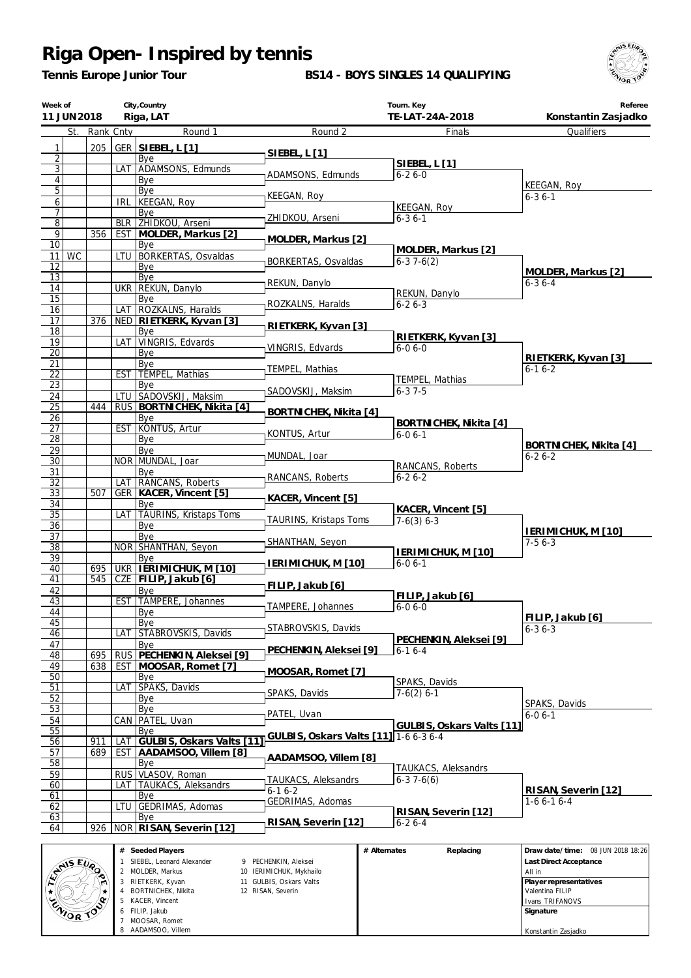*Tennis Europe Junior Tour*

**BS14 - BOYS SINGLES 14 QUALIFYING**



| Week of               | 11 JUN 2018 |           |                  | City, Country<br>Riga, LAT                          |                                                 |              | Tourn. Key<br>TE-LAT-24A-2018 | Referee<br>Konstantin Zasjadko         |
|-----------------------|-------------|-----------|------------------|-----------------------------------------------------|-------------------------------------------------|--------------|-------------------------------|----------------------------------------|
|                       | St.         | Rank Cnty |                  | Round 1                                             | Round 2                                         |              | Finals                        | Qualifiers                             |
| $\mathbf{1}$          |             | 205       |                  | GER SIEBEL, L [1]                                   |                                                 |              |                               |                                        |
| $\overline{2}$        |             |           |                  | Bye                                                 | SIEBEL, L [1]                                   |              |                               |                                        |
| $\overline{3}$        |             |           |                  | LAT ADAMSONS, Edmunds                               | ADAMSONS, Edmunds                               |              | SIEBEL, L [1]<br>$6 - 26 - 0$ |                                        |
| 4                     |             |           |                  | Bye                                                 |                                                 |              |                               | KEEGAN, Roy                            |
| $\overline{5}$        |             |           |                  | Bye                                                 | KEEGAN, Roy                                     |              |                               | $6 - 36 - 1$                           |
| 6<br>7                |             |           | irl              | KEEGAN, Roy<br>Bye                                  |                                                 |              | <b>KEEGAN, Roy</b>            |                                        |
| $\overline{8}$        |             |           |                  | <b>BLR ZHIDKOU, Arseni</b>                          | ZHIDKOU, Arseni                                 |              | $6 - 36 - 1$                  |                                        |
| $\overline{9}$        |             | 356       |                  | EST MOLDER, Markus [2]                              |                                                 |              |                               |                                        |
| 10                    |             |           |                  | Bye                                                 | MOLDER, Markus [2]                              |              | MOLDER, Markus [2]            |                                        |
| 11 <sup>1</sup>       | WC          |           | LTU              | <b>BORKERTAS, Osvaldas</b>                          | BORKERTAS, Osvaldas                             |              | $6-37-6(2)$                   |                                        |
| 12<br>13              |             |           |                  | Bye<br>Bye                                          |                                                 |              |                               | MOLDER, Markus [2]                     |
| 14                    |             |           |                  | UKR REKUN, Danylo                                   | REKUN, Danylo                                   |              |                               | $6 - 36 - 4$                           |
| $\overline{15}$       |             |           |                  | Bye                                                 |                                                 |              | REKUN, Danylo                 |                                        |
| 16                    |             |           | LAT              | ROZKALNS, Haralds                                   | ROZKALNS, Haralds                               |              | $6 - 26 - 3$                  |                                        |
| 17                    |             | 376       |                  | NED RIETKERK, Kyvan [3]                             | RIETKERK, Kyvan [3]                             |              |                               |                                        |
| 18<br>19              |             |           | LAT <sup>I</sup> | Bye<br>VINGRIS, Edvards                             |                                                 |              | RIETKERK, Kyvan [3]           |                                        |
| $\overline{20}$       |             |           |                  | Bye                                                 | VINGRIS, Edvards                                |              | $6 - 06 - 0$                  |                                        |
| 21                    |             |           |                  | Bye                                                 |                                                 |              |                               | RIETKERK, Kyvan [3]                    |
| $\overline{22}$       |             |           |                  | EST TEMPEL, Mathias                                 | TEMPEL, Mathias                                 |              | TEMPEL, Mathias               | $6 - 16 - 2$                           |
| $\overline{23}$       |             |           |                  | Bye                                                 | SADOVSKIJ, Maksim                               |              | $6 - 37 - 5$                  |                                        |
| 24<br>$\overline{25}$ |             | 444       |                  | LTU SADOVSKIJ, Maksim                               |                                                 |              |                               |                                        |
| 26                    |             |           |                  | RUS   BORTNICHEK, Nikita [4]<br>Bye                 | BORTNICHEK, Nikita [4]                          |              |                               |                                        |
| 27                    |             |           |                  | EST KONTUS, Artur                                   |                                                 |              | BORTNICHEK, Nikita [4]        |                                        |
| 28                    |             |           |                  | Bye                                                 | KONTUS, Artur                                   |              | $6 - 06 - 1$                  |                                        |
| 29                    |             |           |                  | Bye                                                 | MUNDAL, Joar                                    |              |                               | BORTNICHEK, Nikita [4]<br>$6 - 26 - 2$ |
| $\overline{30}$       |             |           |                  | NOR MUNDAL, Joar                                    |                                                 |              | RANCANS, Roberts              |                                        |
| 31<br>32              |             |           |                  | Bye<br>LAT RANCANS, Roberts                         | RANCANS, Roberts                                |              | $6 - 26 - 2$                  |                                        |
| 33                    |             | 507       |                  | GER KACER, Vincent [5]                              |                                                 |              |                               |                                        |
| 34                    |             |           |                  | Bye                                                 | KACER, Vincent [5]                              |              | KACER, Vincent [5]            |                                        |
| $\overline{35}$       |             |           | LAT              | TAURINS, Kristaps Toms                              | TAURINS, Kristaps Toms                          |              | $7-6(3)$ 6-3                  |                                        |
| 36<br>$\overline{37}$ |             |           |                  | Bye<br>Bve                                          |                                                 |              |                               | <b>IERIMICHUK, M [10]</b>              |
| 38                    |             |           |                  | NOR SHANTHAN, Seyon                                 | SHANTHAN, Seyon                                 |              |                               | $7-56-3$                               |
| 39                    |             |           |                  | Bye                                                 |                                                 |              | IERIMICHUK, M [10]            |                                        |
| 40                    |             | 695       |                  | UKR   IERIMICHUK, M [10]                            | IERIMICHUK, M [10]                              |              | $6 - 06 - 1$                  |                                        |
| 41                    |             | 545       |                  | CZE FILIP, Jakub [6]                                | FILIP, Jakub [6]                                |              |                               |                                        |
| 42<br>43              |             |           | <b>EST</b>       | Bye<br>TAMPERE, Johannes                            |                                                 |              | FILIP, Jakub [6]              |                                        |
| 44                    |             |           |                  | <b>B</b> ve                                         | TAMPERE, Johannes                               |              | $6 - 06 - 0$                  |                                        |
| 45                    |             |           |                  | Bye                                                 |                                                 |              |                               | FILIP, Jakub [6]                       |
| 46                    |             |           | LAT              | STABROVSKIS, Davids                                 | STABROVSKIS, Davids                             |              | PECHENKIN, Aleksei [9]        | $6 - 36 - 3$                           |
| 47                    |             |           |                  | Bye                                                 | PECHENKIN, Aleksei [9]                          |              | $6-16-4$                      |                                        |
| 48                    |             | 695       |                  | RUS PECHENKIN, Aleksei [9]<br>EST MOOSAR, Romet [7] |                                                 |              |                               |                                        |
| 49<br>$\overline{50}$ |             | 638       |                  | Bye                                                 | MOOSAR, Romet [7]                               |              |                               |                                        |
| 51                    |             |           |                  | LAT SPAKS, Davids                                   |                                                 |              | SPAKS, Davids                 |                                        |
| 52                    |             |           |                  | Bye                                                 | SPAKS, Davids                                   |              | $7-6(2)$ 6-1                  | SPAKS, Davids                          |
| 53                    |             |           |                  | Bye                                                 | PATEL, Uvan                                     |              |                               | $6 - 0 6 - 1$                          |
| 54                    |             |           |                  | CAN PATEL, Uvan                                     |                                                 |              | GULBIS, Oskars Valts [11]     |                                        |
| 55<br>56              |             | 911       | LAT              | Bye<br>GULBIS, Oskars Valts [11]                    | GULBIS, Oskars Valts [11] 1-6 6-3 6-4           |              |                               |                                        |
| 57                    |             | 689       | <b>EST</b>       | AADAMSOO, Villem [8]                                |                                                 |              |                               |                                        |
| 58                    |             |           |                  | Bye                                                 | AADAMSOO, Villem [8]                            |              | TAUKACS, Aleksandrs           |                                        |
| 59                    |             |           |                  | RUS VLASOV, Roman                                   | TAUKACS, Aleksandrs                             |              | $6-37-6(6)$                   |                                        |
| 60                    |             |           |                  | LAT TAUKACS, Aleksandrs                             | $6 - 16 - 2$                                    |              |                               | RISAN, Severin [12]                    |
| 61<br>62              |             |           | ltu              | Bye<br>GEDRIMAS, Adomas                             | GEDRIMAS, Adomas                                |              |                               | $1-66-16-4$                            |
| 63                    |             |           |                  | Bye                                                 |                                                 |              | RISAN, Severin [12]           |                                        |
| 64                    |             | 926       |                  | NOR RISAN, Severin [12]                             | RISAN, Severin [12]                             |              | $6 - 26 - 4$                  |                                        |
|                       |             |           |                  |                                                     |                                                 |              |                               |                                        |
|                       |             |           |                  | # Seeded Players                                    |                                                 | # Alternates | Replacing                     | Draw date/time: 08 JUN 2018 18:26      |
|                       | ANS EVA     |           |                  | 1 SIEBEL, Leonard Alexander<br>MOI DFR. Markus      | 9 PECHENKIN, Aleksei<br>10 IFRIMICHUK, Mykhailo |              |                               | Last Direct Acceptance<br>All in       |

|                  | # Seeded Players          |                         | # Alternates | Replacing | Draw date/time: 08 JUN 2018 18:26 |
|------------------|---------------------------|-------------------------|--------------|-----------|-----------------------------------|
|                  | SIEBEL, Leonard Alexander | 9 PECHENKIN, Aleksei    |              |           | <b>Last Direct Acceptance</b>     |
| <b>ANSEUP</b>    | 2 MOLDER, Markus          | 10 IERIMICHUK, Mykhailo |              |           | All in                            |
|                  | RIETKERK, Kyvan           | 11 GULBIS, Oskars Valts |              |           | Player representatives            |
|                  | BORTNICHEK, Nikita        | 12 RISAN, Severin       |              |           | l Valentina FILIP                 |
|                  | 5 KACER, Vincent          |                         |              |           | I Ivans TRIFANOVS                 |
| <b>ENIOR TOP</b> | 6 FILIP, Jakub            |                         |              |           | Signature                         |
|                  | MOOSAR, Romet             |                         |              |           |                                   |
|                  | 8 AADAMSOO, Villem        |                         |              |           | Konstantin Zasjadko               |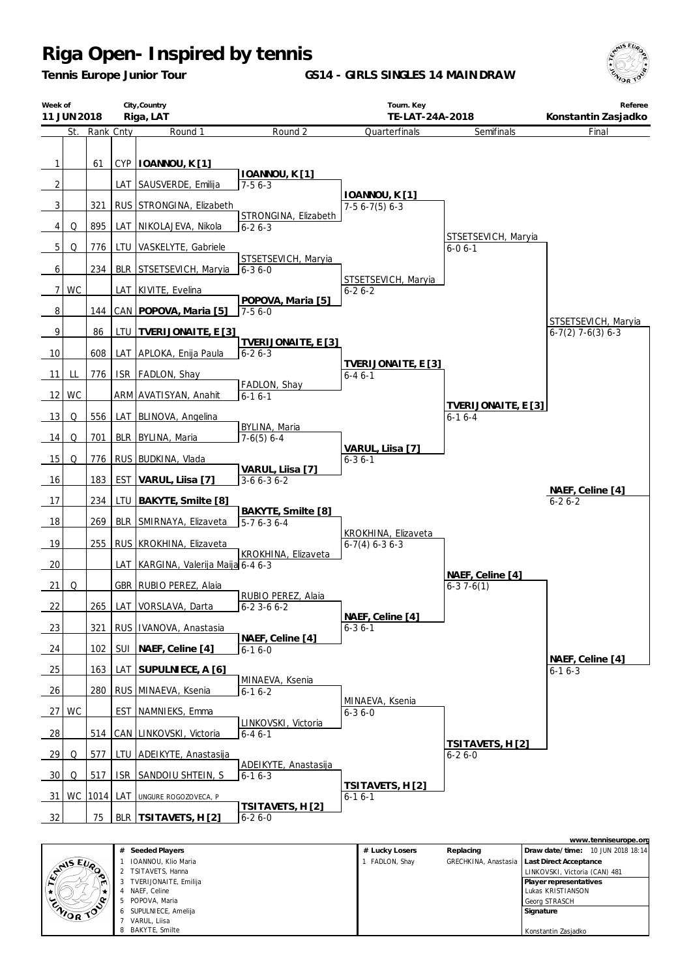*Tennis Europe Junior Tour*

**GS14 - GIRLS SINGLES 14 MAINDRAW**



|                 | City, Country<br>Week of<br>Riga, LAT<br>11 JUN 2018 |               |            |                                                | Tourn. Key<br>TE-LAT-24A-2018           |                                             | Referee<br>Konstantin Zasjadko      |                                                           |
|-----------------|------------------------------------------------------|---------------|------------|------------------------------------------------|-----------------------------------------|---------------------------------------------|-------------------------------------|-----------------------------------------------------------|
|                 |                                                      | St. Rank Cnty |            | Round 1                                        | Round 2                                 | Quarterfinals                               | Semifinals                          | Final                                                     |
| 1<br>2          |                                                      | 61            |            | CYP   IOANNOU, K [1]<br>LAT SAUSVERDE, Emilija | IOANNOU, K[1]<br>$7-56-3$               |                                             |                                     |                                                           |
| 3               |                                                      | 321           |            | RUS STRONGINA, Elizabeth                       |                                         | IOANNOU, K[1]<br>$7-56-7(5)6-3$             |                                     |                                                           |
| $\vert 4 \vert$ | Q                                                    | 895           |            | LAT NIKOLAJEVA, Nikola                         | STRONGINA, Elizabeth<br>$6 - 26 - 3$    |                                             |                                     |                                                           |
| 5               | Q                                                    | 776           | LTU        | VASKELYTE, Gabriele                            |                                         |                                             | STSETSEVICH, Maryia<br>$6 - 06 - 1$ |                                                           |
| 6               |                                                      | 234           | BLR        | STSETSEVICH, Maryia                            | STSETSEVICH, Maryia<br>$6 - 36 - 0$     |                                             |                                     |                                                           |
| 7 <sup>1</sup>  | <b>WC</b>                                            |               |            | LAT KIVITE, Evelina                            |                                         | STSETSEVICH, Maryia<br>$6 - 26 - 2$         |                                     |                                                           |
| 8               |                                                      | 144           |            | CAN POPOVA, Maria [5]                          | POPOVA, Maria [5]<br>$7-56-0$           |                                             |                                     |                                                           |
| 9               |                                                      | 86            | ltu        | TVERIJONAITE, E [3]                            |                                         |                                             |                                     | STSETSEVICH, Maryia<br>$6-7(2)$ 7-6(3) 6-3                |
| 10              |                                                      | 608           |            | LAT APLOKA, Enija Paula                        | TVERIJONAITE, E [3]<br>$6 - 26 - 3$     |                                             |                                     |                                                           |
| 11              | LL                                                   | 776           |            | ISR FADLON, Shay                               |                                         | TVERIJONAITE, E [3]<br>$6 - 46 - 1$         |                                     |                                                           |
| 12              | WC                                                   |               |            | ARM AVATISYAN, Anahit                          | FADLON, Shay<br>$6 - 16 - 1$            |                                             |                                     |                                                           |
| 13              | Q                                                    | 556           |            | LAT BLINOVA, Angelina                          |                                         |                                             | TVERIJONAITE, E [3]<br>$6 - 16 - 4$ |                                                           |
| 14              | Q                                                    | 701           |            | BLR BYLINA, Maria                              | BYLINA, Maria<br>$7-6(5)$ 6-4           |                                             |                                     |                                                           |
| 15              | Q                                                    | 776           |            | RUS BUDKINA, Vlada                             |                                         | VARUL, Liisa [7]<br>$6 - 36 - 1$            |                                     |                                                           |
| 16              |                                                      | 183           | EST        | VARUL, Liisa [7]                               | VARUL, Liisa [7]<br>$3-66-36-2$         |                                             |                                     |                                                           |
| 17              |                                                      | 234           | LTU        | BAKYTE, Smilte [8]                             |                                         |                                             |                                     | NAEF, Celine [4]<br>$6 - 26 - 2$                          |
| 18              |                                                      | 269           | BLR        | SMIRNAYA, Elizaveta                            | BAKYTE, Smilte [8]<br>$5-76-36-4$       |                                             |                                     |                                                           |
| 19              |                                                      | 255           |            | RUS   KROKHINA, Elizaveta                      |                                         | KROKHINA, Elizaveta<br>$6-7(4)$ $6-3$ $6-3$ |                                     |                                                           |
| 20              |                                                      |               |            | LAT KARGINA, Valerija Maija 6-4 6-3            | KROKHINA, Elizaveta                     |                                             |                                     |                                                           |
| 21              | Q                                                    |               |            | GBR   RUBIO PEREZ, Alaia                       |                                         |                                             | NAEF, Celine [4]<br>$6-37-6(1)$     |                                                           |
| 22              |                                                      |               |            | 265 LAT VORSLAVA, Darta                        | RUBIO PEREZ, Alaia<br>$6 - 23 - 66 - 2$ |                                             |                                     |                                                           |
| 23              |                                                      | 321           |            | RUS   IVANOVA, Anastasia                       |                                         | NAEF, Celine [4]<br>$6 - 36 - 1$            |                                     |                                                           |
| 24              |                                                      | 102           | SUI        | NAEF, Celine [4]                               | NAEF, Celine [4]<br>$6-16-0$            |                                             |                                     |                                                           |
| 25              |                                                      | 163           | LAT        | SUPULNIECE, A [6]                              |                                         |                                             |                                     | NAEF, Celine [4]<br>$6 - 16 - 3$                          |
| 26              |                                                      | 280           |            | RUS MINAEVA, Ksenia                            | MINAEVA, Ksenia<br>$6 - 16 - 2$         |                                             |                                     |                                                           |
| 27              | WC                                                   |               | EST        | NAMNIEKS, Emma                                 |                                         | MINAEVA, Ksenia<br>$6 - 36 - 0$             |                                     |                                                           |
| 28              |                                                      | 514           | CAN        | LINKOVSKI, Victoria                            | LINKOVSKI, Victoria<br>$6 - 46 - 1$     |                                             |                                     |                                                           |
| 29              | Q                                                    | 577           | LTU        | ADEIKYTE, Anastasija                           |                                         |                                             | TSITAVETS, H [2]<br>$6 - 26 - 0$    |                                                           |
| 30              | Q                                                    | 517           | <b>ISR</b> | SANDOIU SHTEIN, S                              | ADEIKYTE, Anastasija<br>$6 - 16 - 3$    |                                             |                                     |                                                           |
| 31 I            | WC                                                   | 1014 LAT      |            | UNGURE ROGOZOVECA, P                           |                                         | TSITAVETS, H [2]<br>$6 - 16 - 1$            |                                     |                                                           |
| 32              |                                                      | 75            | BLR I      | TSITAVETS, H [2]                               | TSITAVETS, H [2]<br>$6 - 26 - 0$        |                                             |                                     |                                                           |
|                 |                                                      |               |            | # Seeded Plavers                               |                                         | # Lucky Losers                              | Replacing                           | www.tenniseurope.org<br>Draw date/time: 10 JUN 2018 18:14 |

|           | # | Seeded Players        | # Lucky Losers | Replacing | Draw date/time: 10 JUN 2018 18:14             |
|-----------|---|-----------------------|----------------|-----------|-----------------------------------------------|
|           |   | IOANNOU, Klio Maria   | FADLON, Shay   |           | GRECHKINA, Anastasia   Last Direct Acceptance |
| ANIS EUR  | 2 | TSITAVETS, Hanna      |                |           | LINKOVSKI, Victoria (CAN) 481                 |
| ۱m.       | 3 | TVERIJONAITE, Emilija |                |           | Player representatives                        |
|           |   | NAEF, Celine          |                |           | Lukas KRISTIANSON                             |
|           | 5 | POPOVA, Maria         |                |           | Georg STRASCH                                 |
| ENIOR TOP |   | 6 SUPULNIECE, Amelija |                |           | Signature                                     |
|           |   | VARUL, Liisa          |                |           |                                               |
|           | 8 | BAKYTE, Smilte        |                |           | Konstantin Zasjadko                           |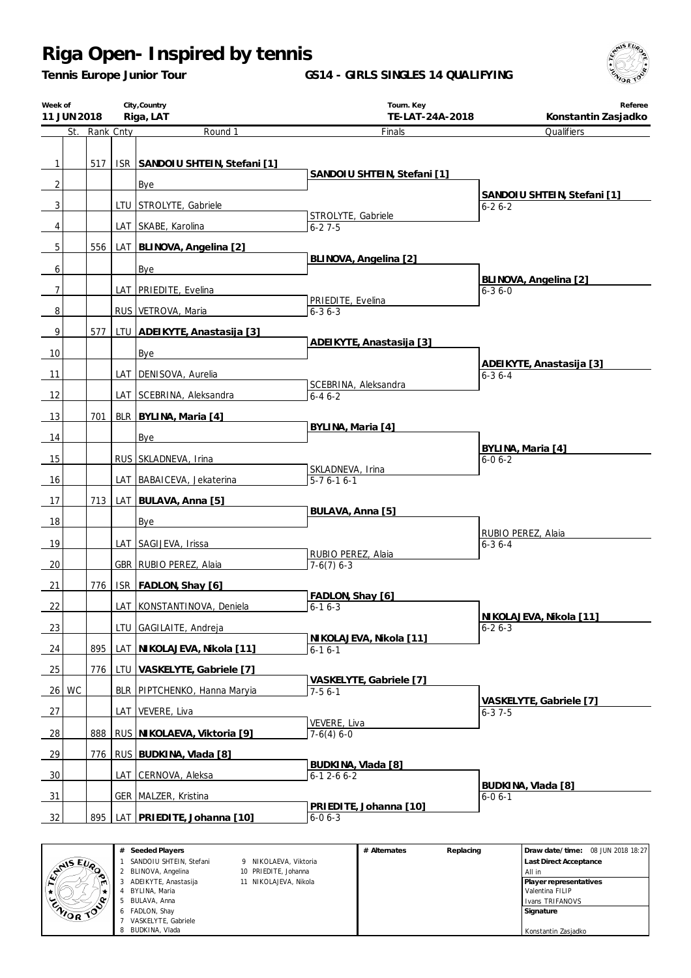*Tennis Europe Junior Tour*

**GS14 - GIRLS SINGLES 14 QUALIFYING**



|                | City, Country<br>Week of<br>Riga, LAT<br>11 JUN 2018 |               |  | Tourn. Key                      | Referee                             |                                         |
|----------------|------------------------------------------------------|---------------|--|---------------------------------|-------------------------------------|-----------------------------------------|
|                |                                                      | St. Rank Cnty |  | Round 1                         | TE-LAT-24A-2018<br>Finals           | Konstantin Zasjadko<br>Qualifiers       |
|                |                                                      |               |  |                                 |                                     |                                         |
| 1              |                                                      | 517           |  | ISR SANDOIU SHTEIN, Stefani [1] |                                     |                                         |
|                |                                                      |               |  |                                 | SANDOIU SHTEIN, Stefani [1]         |                                         |
| $\overline{c}$ |                                                      |               |  | Bye                             |                                     | SANDOIU SHTEIN, Stefani [1]             |
| 3              |                                                      |               |  | LTU STROLYTE, Gabriele          | STROLYTE, Gabriele                  | $6 - 26 - 2$                            |
| 4              |                                                      |               |  | LAT SKABE, Karolina             | $6 - 27 - 5$                        |                                         |
| 5              |                                                      | 556           |  | LAT   BLINOVA, Angelina [2]     |                                     |                                         |
|                |                                                      |               |  |                                 | BLINOVA, Angelina [2]               |                                         |
| 6              |                                                      |               |  | Bye                             |                                     | BLINOVA, Angelina [2]                   |
| 7              |                                                      |               |  | LAT PRIEDITE, Evelina           | PRIEDITE, Evelina                   | $6 - 36 - 0$                            |
| 8              |                                                      |               |  | RUS VETROVA, Maria              | $6 - 36 - 3$                        |                                         |
| 9              |                                                      | 577           |  | LTU ADEIKYTE, Anastasija [3]    |                                     |                                         |
| 10             |                                                      |               |  |                                 | ADEIKYTE, Anastasija [3]            |                                         |
|                |                                                      |               |  | Bye                             |                                     | ADEIKYTE, Anastasija [3]                |
| 11             |                                                      |               |  | LAT   DENISOVA, Aurelia         | SCEBRINA, Aleksandra                | $6 - 36 - 4$                            |
| 12             |                                                      |               |  | LAT SCEBRINA, Aleksandra        | $6 - 46 - 2$                        |                                         |
| 13             |                                                      | 701           |  | BLR   BYLINA, Maria [4]         |                                     |                                         |
| 14             |                                                      |               |  | Bye                             | BYLINA, Maria [4]                   |                                         |
|                |                                                      |               |  |                                 |                                     | BYLINA, Maria [4]                       |
| 15             |                                                      |               |  | RUS SKLADNEVA, Irina            | SKLADNEVA, Irina                    | $6 - 06 - 2$                            |
| 16             |                                                      |               |  | LAT BABAICEVA, Jekaterina       | $5-76-16-1$                         |                                         |
| 17             |                                                      | 713           |  | LAT BULAVA, Anna [5]            |                                     |                                         |
| 18             |                                                      |               |  | Bye                             | BULAVA, Anna [5]                    |                                         |
|                |                                                      |               |  |                                 |                                     | RUBIO PEREZ, Alaia                      |
| 19             |                                                      |               |  | LAT SAGIJEVA, Irissa            | RUBIO PEREZ, Alaia                  | $6 - 36 - 4$                            |
| 20             |                                                      |               |  | GBR RUBIO PEREZ, Alaia          | $7-6(7)$ 6-3                        |                                         |
| 21             |                                                      | 776           |  | ISR FADLON, Shay [6]            |                                     |                                         |
| 22             |                                                      |               |  | LAT KONSTANTINOVA, Deniela      | FADLON, Shay [6]<br>$6 - 16 - 3$    |                                         |
|                |                                                      |               |  |                                 |                                     | NIKOLAJEVA, Nikola [11]                 |
| 23             |                                                      |               |  | LTU GAGILAITE, Andreja          | NIKOLAJEVA, Nikola [11]             | $6 - 26 - 3$                            |
| 24             |                                                      | 895           |  | LAT NI KOLAJEVA, Nikola [11]    | $6 - 16 - 1$                        |                                         |
| 25             |                                                      | 776           |  | LTU   VASKELYTE, Gabriele [7]   |                                     |                                         |
|                | 26 WC                                                |               |  | BLR PIPTCHENKO, Hanna Maryia    | VASKELYTE, Gabriele [7]<br>$7-56-1$ |                                         |
| 27             |                                                      |               |  | LAT VEVERE, Liva                |                                     | VASKELYTE, Gabriele [7]<br>$6 - 37 - 5$ |
|                |                                                      |               |  |                                 | VEVERE, Liva                        |                                         |
| <u>28</u>      |                                                      | 888           |  | RUS NIKOLAEVA, Viktoria [9]     | $7-6(4) 6-0$                        |                                         |
| 29             |                                                      | 776           |  | RUS BUDKINA, Vlada [8]          |                                     |                                         |
| 30             |                                                      |               |  | LAT CERNOVA, Aleksa             | BUDKINA, Vlada [8]<br>$6-12-66-2$   |                                         |
| 31             |                                                      |               |  | <b>GER MALZER, Kristina</b>     |                                     | BUDKINA, Vlada [8]<br>$6 - 06 - 1$      |
|                |                                                      |               |  |                                 | PRIEDITE, Johanna [10]              |                                         |
| 32             |                                                      | 895           |  | LAT PRIEDITE, Johanna [10]      | $6 - 06 - 3$                        |                                         |

|                  | # Seeded Players        |                       | # Alternates | Replacing | Draw date/time: 08 JUN 2018 18:27 |
|------------------|-------------------------|-----------------------|--------------|-----------|-----------------------------------|
| <b>ANIS EUP</b>  | SANDOIU SHTEIN, Stefani | 9 NIKOLAEVA, Viktoria |              |           | Last Direct Acceptance            |
| æ.               | 2 BLINOVA, Angelina     | 10 PRIEDITE, Johanna  |              |           | All in                            |
| m.               | ADEIKYTE, Anastasija    | 11 NIKOLAJEVA, Nikola |              |           | Player representatives            |
|                  | BYLINA, Maria           |                       |              |           | Valentina FILIP                   |
| ۰٥               | BULAVA, Anna            |                       |              |           | I Ivans TRIFANOVS                 |
| <b>CAIOR TOO</b> | 6 FADLON, Shav          |                       |              |           | Signature                         |
|                  | VASKELYTE, Gabriele     |                       |              |           |                                   |
|                  | BUDKINA, Vlada          |                       |              |           | Konstantin Zasjadko               |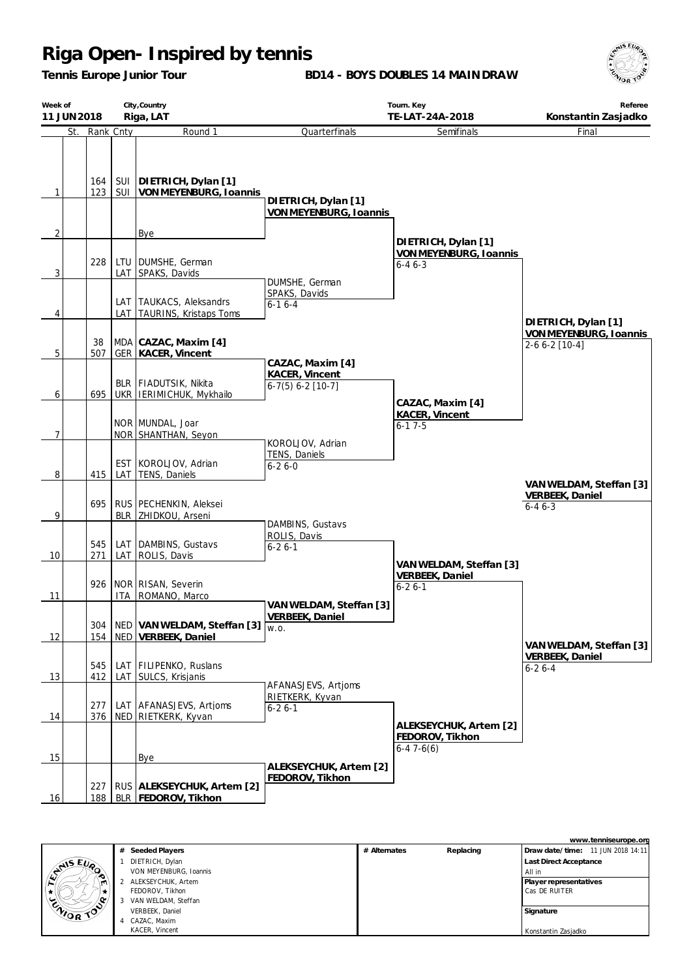*Tennis Europe Junior Tour*

**BD14 - BOYS DOUBLES 14 MAINDRAW**



| Week of<br>11 JUN 2018 |            |     | City, Country<br>Riga, LAT                                             |                                                           | Tourn. Key<br>TE-LAT-24A-2018                              | Referee<br>Konstantin Zasjadko                                |
|------------------------|------------|-----|------------------------------------------------------------------------|-----------------------------------------------------------|------------------------------------------------------------|---------------------------------------------------------------|
| St.                    | Rank Cnty  |     | Round 1                                                                | Quarterfinals                                             | Semifinals                                                 | Final                                                         |
| $\mathbf{1}$           | 164<br>123 |     | SUI   DIETRICH, Dylan [1]<br>SUI   VON MEYENBURG, Ioannis              | DIETRICH, Dylan [1]                                       |                                                            |                                                               |
|                        |            |     |                                                                        | VON MEYENBURG, Ioannis                                    |                                                            |                                                               |
| $\overline{2}$         |            |     | Bye                                                                    |                                                           | DIETRICH, Dylan [1]                                        |                                                               |
| 3                      | 228        |     | LTU   DUMSHE, German<br>LAT SPAKS, Davids                              | DUMSHE, German                                            | VON MEYENBURG, Ioannis<br>$6 - 46 - 3$                     |                                                               |
| 4                      |            |     | LAT TAUKACS, Aleksandrs<br>LAT TAURINS, Kristaps Toms                  | SPAKS, Davids<br>$6 - 16 - 4$                             |                                                            |                                                               |
|                        |            |     |                                                                        |                                                           |                                                            | DIETRICH, Dylan [1]<br>VON MEYENBURG, Ioannis                 |
| $5\,$                  | 38<br>507  |     | MDA CAZAC, Maxim [4]<br><b>GER KACER, Vincent</b>                      |                                                           |                                                            | 2-6 6-2 [10-4]                                                |
| 6                      | 695        |     | BLR   FIADUTSIK, Nikita<br>UKR IERIMICHUK, Mykhailo                    | CAZAC, Maxim [4]<br>KACER, Vincent<br>$6-7(5) 6-2 [10-7]$ |                                                            |                                                               |
| $\overline{7}$         |            |     | NOR MUNDAL, Joar<br>NOR SHANTHAN, Seyon                                |                                                           | CAZAC, Maxim [4]<br>KACER, Vincent<br>$6 - 17 - 5$         |                                                               |
| 8                      | 415        | LAT | EST KOROLJOV, Adrian<br>TENS, Daniels                                  | KOROLJOV, Adrian<br>TENS, Daniels<br>$6 - 26 - 0$         |                                                            |                                                               |
| 9                      | 695        |     | RUS   PECHENKIN, Aleksei<br>BLR ZHIDKOU, Arseni                        |                                                           |                                                            | VAN WELDAM, Steffan [3]<br><b>VERBEEK, Daniel</b><br>$6-46-3$ |
| 10                     | 545<br>271 |     | LAT DAMBINS, Gustavs<br>LAT ROLIS, Davis                               | DAMBINS, Gustavs<br>ROLIS, Davis<br>$6 - 26 - 1$          |                                                            |                                                               |
| 11                     |            |     | 926 NOR RISAN, Severin<br>ITA ROMANO, Marco                            |                                                           | VAN WELDAM, Steffan [3]<br>VERBEEK, Daniel<br>$6 - 26 - 1$ |                                                               |
| 12                     | 304        |     | NED VAN WELDAM, Steffan [3] $\sqrt{w.o.}$<br>154   NED VERBEEK, Daniel | VAN WELDAM, Steffan [3]<br><b>VERBEEK, Daniel</b>         |                                                            |                                                               |
| 13                     | 545<br>412 |     | LAT FILIPENKO, Ruslans<br>LAT SULCS, Krisjanis                         |                                                           |                                                            | VAN WELDAM, Steffan [3]<br>VERBEEK, Daniel<br>$6 - 26 - 4$    |
| 14                     | 277<br>376 |     | LAT AFANASJEVS, Artioms<br>NED RIETKERK, Kyvan                         | AFANASJEVS, Artjoms<br>RIETKERK, Kyvan<br>$6 - 26 - 1$    |                                                            |                                                               |
| 15                     |            |     | Bye                                                                    |                                                           | ALEKSEYCHUK, Artem [2]<br>FEDOROV, Tikhon<br>$6-47-6(6)$   |                                                               |
| 16                     | 227<br>188 |     | RUS   ALEKSEYCHUK, Artem [2]<br>BLR   FEDOROV, Tikhon                  | ALEKSEYCHUK, Artem [2]<br>FEDOROV, Tikhon                 |                                                            |                                                               |